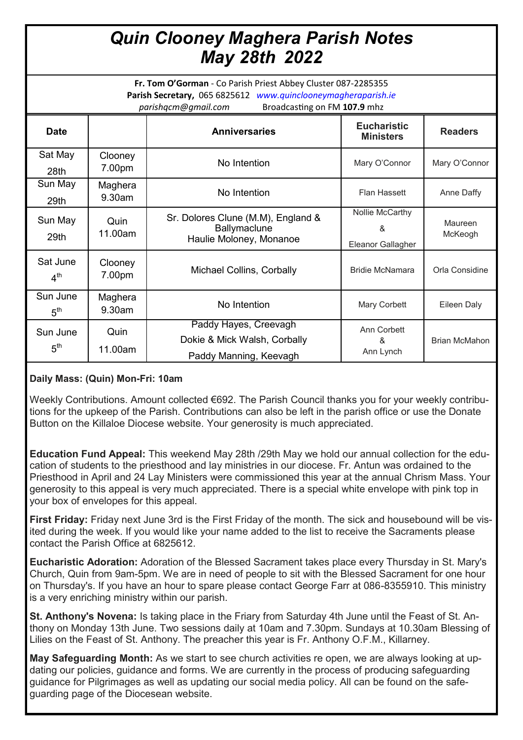# *Quin Clooney Maghera Parish Notes May 28th 2022*

**Fr. Tom O'Gorman** - Co Parish Priest Abbey Cluster 087-2285355 **Parish Secretary,** 065 6825612 *www.quinclooneymagheraparish.ie parishqcm@gmail.com* Broadcasting on FM **107.9** mhz

| <b>Date</b>                 |                   | <b>Anniversaries</b>                                                            | <b>Eucharistic</b><br><b>Ministers</b>    | <b>Readers</b>       |
|-----------------------------|-------------------|---------------------------------------------------------------------------------|-------------------------------------------|----------------------|
| Sat May<br>28th             | Clooney<br>7.00pm | No Intention                                                                    | Mary O'Connor                             | Mary O'Connor        |
| Sun May<br>29th             | Maghera<br>9.30am | No Intention                                                                    | <b>Flan Hassett</b>                       | Anne Daffy           |
| Sun May<br>29th             | Quin<br>11.00am   | Sr. Dolores Clune (M.M), England &<br>Ballymaclune<br>Haulie Moloney, Monanoe   | Nollie McCarthy<br>&<br>Eleanor Gallagher | Maureen<br>McKeogh   |
| Sat June<br>4 <sup>th</sup> | Clooney<br>7.00pm | <b>Michael Collins, Corbally</b>                                                | <b>Bridie McNamara</b>                    | Orla Considine       |
| Sun June<br>5 <sup>th</sup> | Maghera<br>9.30am | No Intention                                                                    | Mary Corbett                              | Eileen Daly          |
| Sun June<br>5 <sup>th</sup> | Quin<br>11.00am   | Paddy Hayes, Creevagh<br>Dokie & Mick Walsh, Corbally<br>Paddy Manning, Keevagh | Ann Corbett<br>&<br>Ann Lynch             | <b>Brian McMahon</b> |

# **Daily Mass: (Quin) Mon-Fri: 10am**

Weekly Contributions. Amount collected €692. The Parish Council thanks you for your weekly contributions for the upkeep of the Parish. Contributions can also be left in the parish office or use the Donate Button on the Killaloe Diocese website. Your generosity is much appreciated.

**Education Fund Appeal:** This weekend May 28th /29th May we hold our annual collection for the education of students to the priesthood and lay ministries in our diocese. Fr. Antun was ordained to the Priesthood in April and 24 Lay Ministers were commissioned this year at the annual Chrism Mass. Your generosity to this appeal is very much appreciated. There is a special white envelope with pink top in your box of envelopes for this appeal.

**First Friday:** Friday next June 3rd is the First Friday of the month. The sick and housebound will be visited during the week. If you would like your name added to the list to receive the Sacraments please contact the Parish Office at 6825612.

**Eucharistic Adoration:** Adoration of the Blessed Sacrament takes place every Thursday in St. Mary's Church, Quin from 9am-5pm. We are in need of people to sit with the Blessed Sacrament for one hour on Thursday's. If you have an hour to spare please contact George Farr at 086-8355910. This ministry is a very enriching ministry within our parish.

**St. Anthony's Novena:** Is taking place in the Friary from Saturday 4th June until the Feast of St. Anthony on Monday 13th June. Two sessions daily at 10am and 7.30pm. Sundays at 10.30am Blessing of Lilies on the Feast of St. Anthony. The preacher this year is Fr. Anthony O.F.M., Killarney.

**May Safeguarding Month:** As we start to see church activities re open, we are always looking at updating our policies, guidance and forms. We are currently in the process of producing safeguarding guidance for Pilgrimages as well as updating our social media policy. All can be found on the safeguarding page of the Diocesean website.